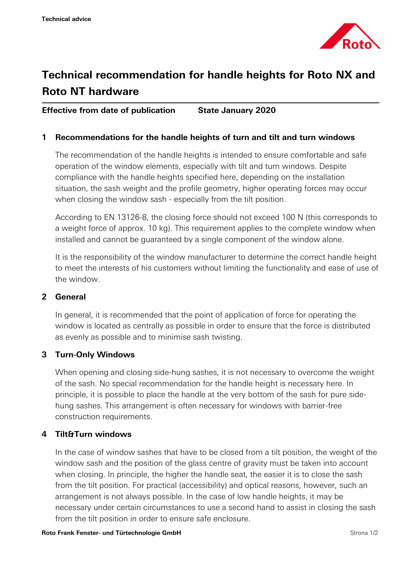

# **Technical recommendation for handle heights for Roto NX and Roto NT hardware**

## **Effective from date of publication State January 2020**

#### **1 Recommendations for the handle heights of turn and tilt and turn windows**

The recommendation of the handle heights is intended to ensure comfortable and safe operation of the window elements, especially with tilt and turn windows. Despite compliance with the handle heights specified here, depending on the installation situation, the sash weight and the profile geometry, higher operating forces may occur when closing the window sash - especially from the tilt position.

According to EN 13126-8, the closing force should not exceed 100 N (this corresponds to a weight force of approx. 10 kg). This requirement applies to the complete window when installed and cannot be guaranteed by a single component of the window alone.

It is the responsibility of the window manufacturer to determine the correct handle height to meet the interests of his customers without limiting the functionality and ease of use of the window.

#### **2 General**

In general, it is recommended that the point of application of force for operating the window is located as centrally as possible in order to ensure that the force is distributed as evenly as possible and to minimise sash twisting.

### **3 Turn-Only Windows**

When opening and closing side-hung sashes, it is not necessary to overcome the weight of the sash. No special recommendation for the handle height is necessary here. In principle, it is possible to place the handle at the very bottom of the sash for pure sidehung sashes. This arrangement is often necessary for windows with barrier-free construction requirements.

#### **4 Tilt&Turn windows**

In the case of window sashes that have to be closed from a tilt position, the weight of the window sash and the position of the glass centre of gravity must be taken into account when closing. In principle, the higher the handle seat, the easier it is to close the sash from the tilt position. For practical (accessibility) and optical reasons, however, such an arrangement is not always possible. In the case of low handle heights, it may be necessary under certain circumstances to use a second hand to assist in closing the sash from the tilt position in order to ensure safe enclosure.